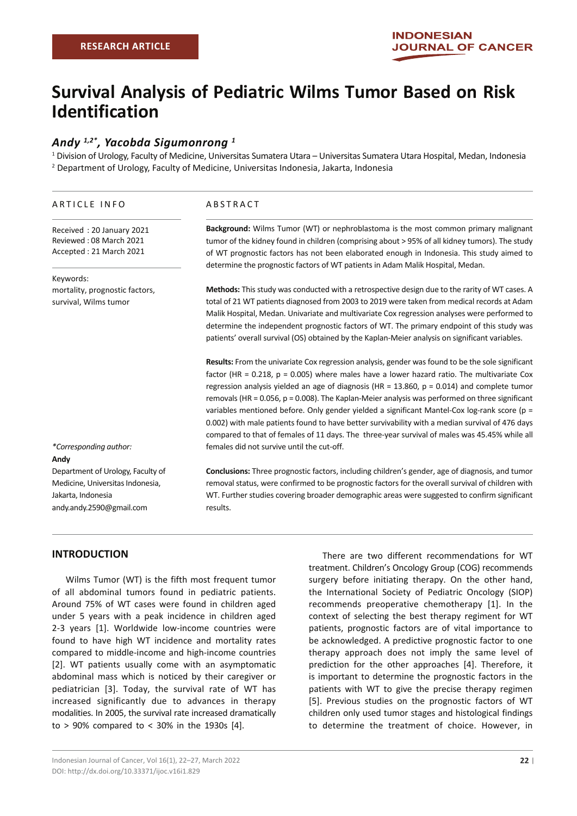# **Survival Analysis of Pediatric Wilms Tumor Based on Risk Identification**

# *Andy 1,2\*, Yacobda Sigumonrong 1*

1 Division of Urology, Faculty of Medicine, Universitas Sumatera Utara – Universitas Sumatera Utara Hospital, Medan, Indonesia 2 Department of Urology, Faculty of Medicine, Universitas Indonesia, Jakarta, Indonesia

#### ARTICLE INFO

ABSTRACT

Received : 20 January 2021 Reviewed : 08 March 2021 Accepted : 21 March 2021

#### Keywords:

mortality, prognostic factors, survival, Wilms tumor

**Background:** Wilms Tumor (WT) or nephroblastoma is the most common primary malignant tumor of the kidney found in children (comprising about > 95% of all kidney tumors). The study of WT prognostic factors has not been elaborated enough in Indonesia. This study aimed to determine the prognostic factors of WT patients in Adam Malik Hospital, Medan.

**Methods:** This study was conducted with a retrospective design due to the rarity of WT cases. A total of 21 WT patients diagnosed from 2003 to 2019 were taken from medical records at Adam Malik Hospital, Medan. Univariate and multivariate Cox regression analyses were performed to determine the independent prognostic factors of WT. The primary endpoint of this study was patients' overall survival (OS) obtained by the Kaplan-Meier analysis on significant variables.

**Results:** From the univariate Cox regression analysis, gender was found to be the sole significant factor (HR =  $0.218$ ,  $p = 0.005$ ) where males have a lower hazard ratio. The multivariate Cox regression analysis yielded an age of diagnosis (HR = 13.860, p = 0.014) and complete tumor removals (HR = 0.056, p = 0.008). The Kaplan-Meier analysis was performed on three significant variables mentioned before. Only gender yielded a significant Mantel-Cox log-rank score (p = 0.002) with male patients found to have better survivability with a median survival of 476 days compared to that of females of 11 days. The three-year survival of males was 45.45% while all females did not survive until the cut-off.

#### *\*Corresponding author:* **Andy**

Department of Urology, Faculty of Medicine, Universitas Indonesia, Jakarta, Indonesia andy.andy.2590@gmail.com

**Conclusions:** Three prognostic factors, including children's gender, age of diagnosis, and tumor removal status, were confirmed to be prognostic factors for the overall survival of children with WT. Further studies covering broader demographic areas were suggested to confirm significant results.

### **INTRODUCTION**

Wilms Tumor (WT) is the fifth most frequent tumor of all abdominal tumors found in pediatric patients. Around 75% of WT cases were found in children aged under 5 years with a peak incidence in children aged 2-3 years [1]. Worldwide low-income countries were found to have high WT incidence and mortality rates compared to middle-income and high-income countries [2]. WT patients usually come with an asymptomatic abdominal mass which is noticed by their caregiver or pediatrician [3]. Today, the survival rate of WT has increased significantly due to advances in therapy modalities. In 2005, the survival rate increased dramatically to > 90% compared to < 30% in the 1930s [4].

There are two different recommendations for WT treatment. Children's Oncology Group (COG) recommends surgery before initiating therapy. On the other hand, the International Society of Pediatric Oncology (SIOP) recommends preoperative chemotherapy [1]. In the context of selecting the best therapy regiment for WT patients, prognostic factors are of vital importance to be acknowledged. A predictive prognostic factor to one therapy approach does not imply the same level of prediction for the other approaches [4]. Therefore, it is important to determine the prognostic factors in the patients with WT to give the precise therapy regimen [5]. Previous studies on the prognostic factors of WT children only used tumor stages and histological findings to determine the treatment of choice. However, in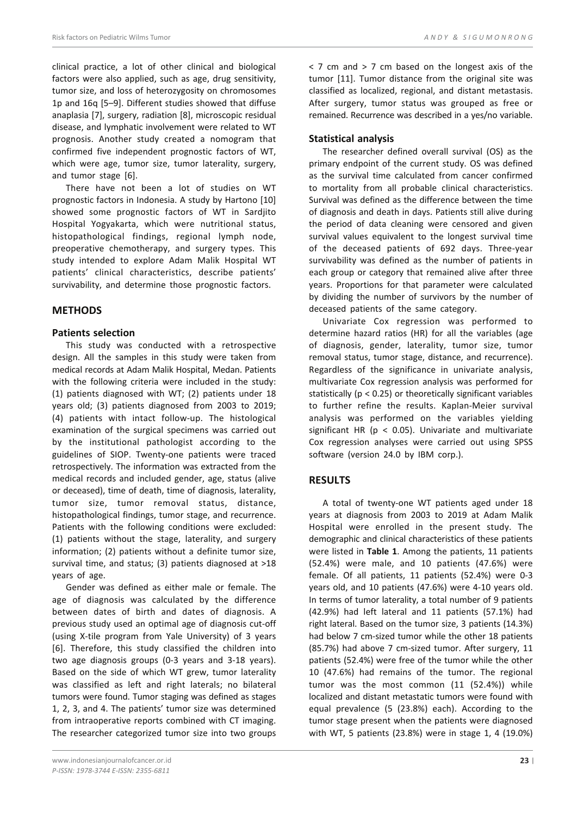clinical practice, a lot of other clinical and biological factors were also applied, such as age, drug sensitivity, tumor size, and loss of heterozygosity on chromosomes 1p and 16q [5–9]. Different studies showed that diffuse anaplasia [7], surgery, radiation [8], microscopic residual disease, and lymphatic involvement were related to WT prognosis. Another study created a nomogram that confirmed five independent prognostic factors of WT, which were age, tumor size, tumor laterality, surgery, and tumor stage [6].

There have not been a lot of studies on WT prognostic factors in Indonesia. A study by Hartono [10] showed some prognostic factors of WT in Sardjito Hospital Yogyakarta, which were nutritional status, histopathological findings, regional lymph node, preoperative chemotherapy, and surgery types. This study intended to explore Adam Malik Hospital WT patients' clinical characteristics, describe patients' survivability, and determine those prognostic factors.

# **METHODS**

### **Patients selection**

This study was conducted with a retrospective design. All the samples in this study were taken from medical records at Adam Malik Hospital, Medan. Patients with the following criteria were included in the study: (1) patients diagnosed with WT; (2) patients under 18 years old; (3) patients diagnosed from 2003 to 2019; (4) patients with intact follow-up. The histological examination of the surgical specimens was carried out by the institutional pathologist according to the guidelines of SIOP. Twenty-one patients were traced retrospectively. The information was extracted from the medical records and included gender, age, status (alive or deceased), time of death, time of diagnosis, laterality, tumor size, tumor removal status, distance, histopathological findings, tumor stage, and recurrence. Patients with the following conditions were excluded: (1) patients without the stage, laterality, and surgery information; (2) patients without a definite tumor size, survival time, and status; (3) patients diagnosed at >18 years of age.

Gender was defined as either male or female. The age of diagnosis was calculated by the difference between dates of birth and dates of diagnosis. A previous study used an optimal age of diagnosis cut-off (using X-tile program from Yale University) of 3 years [6]. Therefore, this study classified the children into two age diagnosis groups (0-3 years and 3-18 years). Based on the side of which WT grew, tumor laterality was classified as left and right laterals; no bilateral tumors were found. Tumor staging was defined as stages 1, 2, 3, and 4. The patients' tumor size was determined from intraoperative reports combined with CT imaging. The researcher categorized tumor size into two groups

< 7 cm and > 7 cm based on the longest axis of the tumor [11]. Tumor distance from the original site was classified as localized, regional, and distant metastasis. After surgery, tumor status was grouped as free or remained. Recurrence was described in a yes/no variable.

#### **Statistical analysis**

The researcher defined overall survival (OS) as the primary endpoint of the current study. OS was defined as the survival time calculated from cancer confirmed to mortality from all probable clinical characteristics. Survival was defined as the difference between the time of diagnosis and death in days. Patients still alive during the period of data cleaning were censored and given survival values equivalent to the longest survival time of the deceased patients of 692 days. Three-year survivability was defined as the number of patients in each group or category that remained alive after three years. Proportions for that parameter were calculated by dividing the number of survivors by the number of deceased patients of the same category.

Univariate Cox regression was performed to determine hazard ratios (HR) for all the variables (age of diagnosis, gender, laterality, tumor size, tumor removal status, tumor stage, distance, and recurrence). Regardless of the significance in univariate analysis, multivariate Cox regression analysis was performed for statistically (p < 0.25) or theoretically significant variables to further refine the results. Kaplan-Meier survival analysis was performed on the variables yielding significant HR ( $p < 0.05$ ). Univariate and multivariate Cox regression analyses were carried out using SPSS software (version 24.0 by IBM corp.).

### **RESULTS**

A total of twenty-one WT patients aged under 18 years at diagnosis from 2003 to 2019 at Adam Malik Hospital were enrolled in the present study. The demographic and clinical characteristics of these patients were listed in **Table 1**. Among the patients, 11 patients (52.4%) were male, and 10 patients (47.6%) were female. Of all patients, 11 patients (52.4%) were 0-3 years old, and 10 patients (47.6%) were 4-10 years old. In terms of tumor laterality, a total number of 9 patients (42.9%) had left lateral and 11 patients (57.1%) had right lateral. Based on the tumor size, 3 patients (14.3%) had below 7 cm-sized tumor while the other 18 patients (85.7%) had above 7 cm-sized tumor. After surgery, 11 patients (52.4%) were free of the tumor while the other 10 (47.6%) had remains of the tumor. The regional tumor was the most common (11 (52.4%)) while localized and distant metastatic tumors were found with equal prevalence (5 (23.8%) each). According to the tumor stage present when the patients were diagnosed with WT, 5 patients (23.8%) were in stage 1, 4 (19.0%)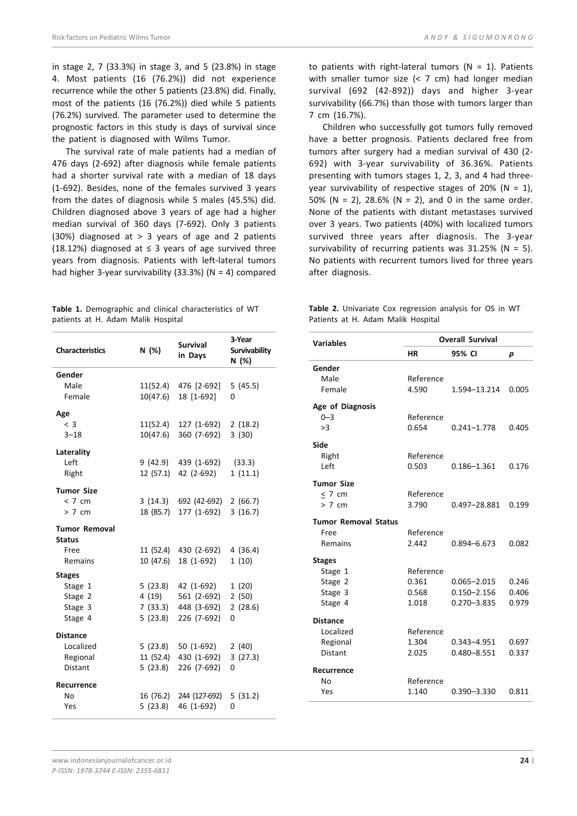in stage 2, 7 (33.3%) in stage 3, and 5 (23.8%) in stage 4. Most patients (16 (76.2%)) did not experience recurrence while the other 5 patients (23.8%) did. Finally, most of the patients (16 (76.2%)) died while 5 patients (76.2%) survived. The parameter used to determine the prognostic factors in this study is days of survival since the patient is diagnosed with Wilms Tumor.

The survival rate of male patients had a median of 476 days (2-692) after diagnosis while female patients had a shorter survival rate with a median of 18 days (1-692). Besides, none of the females survived 3 years from the dates of diagnosis while 5 males (45.5%) did. Children diagnosed above 3 years of age had a higher median survival of 360 days (7-692). Only 3 patients (30%) diagnosed at  $> 3$  years of age and 2 patients (18.12%) diagnosed at  $\leq$  3 years of age survived three years from diagnosis. Patients with left-lateral tumors had higher 3-year survivability  $(33.3%)$  (N = 4) compared

**Table 1.** Demographic and clinical characteristics of WT patients at H. Adam Malik Hospital

| <b>Characteristics</b>                | N (%)     | <b>Survival</b><br>in Days | 3-Year<br><b>Survivability</b><br>N (%) |
|---------------------------------------|-----------|----------------------------|-----------------------------------------|
| Gender                                |           |                            |                                         |
| Male                                  | 11(52.4)  | 476 [2-692]                | 5(45.5)                                 |
| Female                                | 10(47.6)  | 18 [1-692]                 | 0                                       |
| Age                                   |           |                            |                                         |
| $<$ 3                                 |           | 11(52.4) 127 (1-692)       | 2(18.2)                                 |
| $3 - 18$                              | 10(47.6)  | 360 (7-692)                | 3(30)                                   |
| Laterality                            |           |                            |                                         |
| Left                                  |           | 9 (42.9) 439 (1-692)       | (33.3)                                  |
| Right                                 |           | 12 (57.1) 42 (2-692)       | 1(11.1)                                 |
| <b>Tumor Size</b>                     |           |                            |                                         |
| < 7 cm                                |           | 3 (14.3) 692 (42-692)      | 2(66.7)                                 |
| > 7 cm                                | 18 (85.7) | 177 (1-692)                | 3(16.7)                                 |
| <b>Tumor Removal</b><br><b>Status</b> |           |                            |                                         |
| Free                                  |           | 11 (52.4) 430 (2-692)      | 4(36.4)                                 |
| Remains                               | 10 (47.6) | 18 (1-692)                 | 1(10)                                   |
| <b>Stages</b>                         |           |                            |                                         |
| Stage 1                               | 5(23.8)   | 42 (1-692)                 | 1(20)                                   |
| Stage 2                               | 4 (19)    | 561 (2-692)                | 2(50)                                   |
| Stage 3                               |           | 7 (33.3) 448 (3-692)       | 2(28.6)                                 |
| Stage 4                               | 5(23.8)   | 226 (7-692)                | 0                                       |
| <b>Distance</b>                       |           |                            |                                         |
| Localized                             |           | 5 (23.8) 50 (1-692)        | 2(40)                                   |
| Regional                              |           | 11 (52.4) 430 (1-692)      | 3(27.3)                                 |
| <b>Distant</b>                        | 5 (23.8)  | 226 (7-692)                | 0                                       |
| Recurrence                            |           |                            |                                         |
| No                                    | 16 (76.2) | 244 (127-692)              | 5(31.2)                                 |
| Yes                                   | 5(23.8)   | 46 (1-692)                 | 0                                       |

to patients with right-lateral tumors ( $N = 1$ ). Patients with smaller tumor size (< 7 cm) had longer median survival (692 (42-892)) days and higher 3-year survivability (66.7%) than those with tumors larger than 7 cm (16.7%).

Children who successfully got tumors fully removed have a better prognosis. Patients declared free from tumors after surgery had a median survival of 430 (2- 692) with 3-year survivability of 36.36%. Patients presenting with tumors stages 1, 2, 3, and 4 had threeyear survivability of respective stages of 20% ( $N = 1$ ), 50% (N = 2), 28.6% (N = 2), and 0 in the same order. None of the patients with distant metastases survived over 3 years. Two patients (40%) with localized tumors survived three years after diagnosis. The 3-year survivability of recurring patients was  $31.25\%$  (N = 5). No patients with recurrent tumors lived for three years after diagnosis.

**Table 2.** Univariate Cox regression analysis for OS in WT Patients at H. Adam Malik Hospital

| Variables                   | <b>Overall Survival</b> |                 |       |
|-----------------------------|-------------------------|-----------------|-------|
|                             | ΗR                      | 95% CI          | р     |
| Gender                      |                         |                 |       |
| Male                        | Reference               |                 |       |
| Female                      | 4.590                   | 1.594-13.214    | 0.005 |
| Age of Diagnosis            |                         |                 |       |
| $0 - 3$                     | Reference               |                 |       |
| >3                          | 0.654                   | $0.241 - 1.778$ | 0.405 |
| Side                        |                         |                 |       |
| Right                       | Reference               |                 |       |
| Left                        | 0.503                   | 0.186-1.361     | 0.176 |
| <b>Tumor Size</b>           |                         |                 |       |
| < 7 cm                      | Reference               |                 |       |
| > 7 cm                      | 3.790                   | 0.497-28.881    | 0.199 |
| <b>Tumor Removal Status</b> |                         |                 |       |
| Free                        | Reference               |                 |       |
| <b>Remains</b>              | 2.442                   | 0.894-6.673     | 0.082 |
| <b>Stages</b>               |                         |                 |       |
| Stage 1                     | Reference               |                 |       |
| Stage 2                     | 0.361                   | $0.065 - 2.015$ | 0.246 |
| Stage 3                     | 0.568                   | $0.150 - 2.156$ | 0.406 |
| Stage 4                     | 1.018                   | $0.270 - 3.835$ | 0.979 |
| <b>Distance</b>             |                         |                 |       |
| Localized                   | Reference               |                 |       |
| Regional                    | 1.304                   | 0.343-4.951     | 0.697 |
| <b>Distant</b>              | 2.025                   | 0.480-8.551     | 0.337 |
| Recurrence                  |                         |                 |       |
| No                          | Reference               |                 |       |
| Yes                         | 1.140                   | $0.390 - 3.330$ | 0.811 |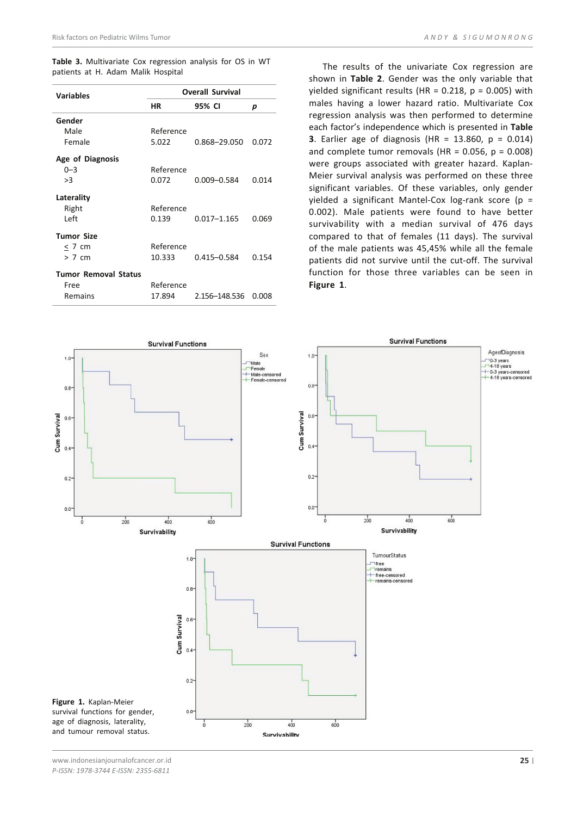**Table 3.** Multivariate Cox regression analysis for OS in WT patients at H. Adam Malik Hospital

| <b>Variables</b>            | <b>Overall Survival</b> |                 |       |
|-----------------------------|-------------------------|-----------------|-------|
|                             | ΗR                      | 95% CI          | p     |
| Gender                      |                         |                 |       |
| Male                        | Reference               |                 |       |
| Female                      | 5.022                   | 0.868-29.050    | 0.072 |
| Age of Diagnosis            |                         |                 |       |
| $0 - 3$                     | Reference               |                 |       |
| >3                          | 0.072                   | $0.009 - 0.584$ | 0.014 |
| Laterality                  |                         |                 |       |
| Right                       | Reference               |                 |       |
| Left                        | 0.139                   | $0.017 - 1.165$ | 0.069 |
| <b>Tumor Size</b>           |                         |                 |       |
| < 7 cm                      | Reference               |                 |       |
| > 7 cm                      | 10.333                  | 0.415-0.584     | 0.154 |
| <b>Tumor Removal Status</b> |                         |                 |       |
| Free                        | Reference               |                 |       |
| Remains                     | 17.894                  | 2.156-148.536   | 0.008 |

The results of the univariate Cox regression are shown in **Table 2**. Gender was the only variable that yielded significant results (HR =  $0.218$ , p =  $0.005$ ) with males having a lower hazard ratio. Multivariate Cox regression analysis was then performed to determine each factor's independence which is presented in **Table 3**. Earlier age of diagnosis (HR = 13.860, p = 0.014) and complete tumor removals (HR =  $0.056$ ,  $p = 0.008$ ) were groups associated with greater hazard. Kaplan-Meier survival analysis was performed on these three significant variables. Of these variables, only gender yielded a significant Mantel-Cox log-rank score (p = 0.002). Male patients were found to have better survivability with a median survival of 476 days compared to that of females (11 days). The survival of the male patients was 45,45% while all the female patients did not survive until the cut-off. The survival function for those three variables can be seen in **Figure 1**.



www.indonesianjournalofcancer.or.id *P-ISSN: 1978-3744 E-ISSN: 2355-6811*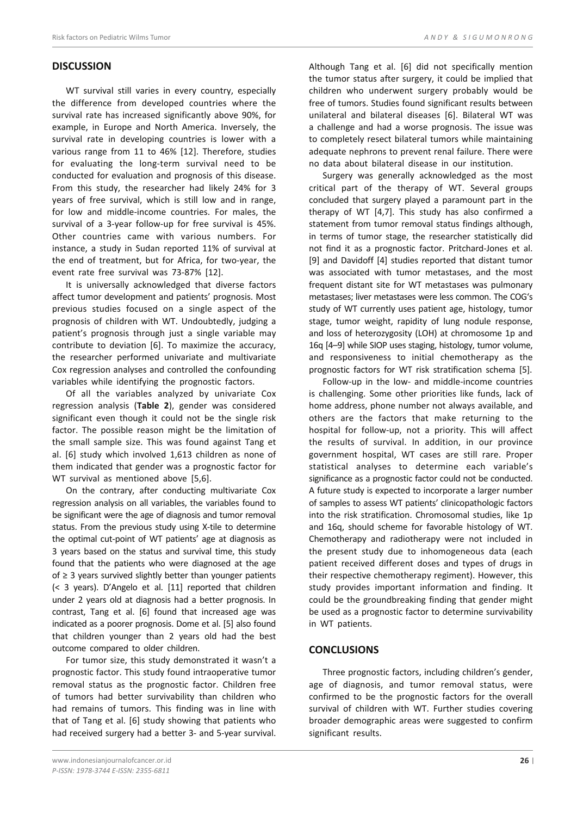### **DISCUSSION**

WT survival still varies in every country, especially the difference from developed countries where the survival rate has increased significantly above 90%, for example, in Europe and North America. Inversely, the survival rate in developing countries is lower with a various range from 11 to 46% [12]. Therefore, studies for evaluating the long-term survival need to be conducted for evaluation and prognosis of this disease. From this study, the researcher had likely 24% for 3 years of free survival, which is still low and in range, for low and middle-income countries. For males, the survival of a 3-year follow-up for free survival is 45%. Other countries came with various numbers. For instance, a study in Sudan reported 11% of survival at the end of treatment, but for Africa, for two-year, the event rate free survival was 73-87% [12].

It is universally acknowledged that diverse factors affect tumor development and patients' prognosis. Most previous studies focused on a single aspect of the prognosis of children with WT. Undoubtedly, judging a patient's prognosis through just a single variable may contribute to deviation [6]. To maximize the accuracy, the researcher performed univariate and multivariate Cox regression analyses and controlled the confounding variables while identifying the prognostic factors.

Of all the variables analyzed by univariate Cox regression analysis (**Table 2**), gender was considered significant even though it could not be the single risk factor. The possible reason might be the limitation of the small sample size. This was found against Tang et al. [6] study which involved 1,613 children as none of them indicated that gender was a prognostic factor for WT survival as mentioned above [5,6].

On the contrary, after conducting multivariate Cox regression analysis on all variables, the variables found to be significant were the age of diagnosis and tumor removal status. From the previous study using X-tile to determine the optimal cut-point of WT patients' age at diagnosis as 3 years based on the status and survival time, this study found that the patients who were diagnosed at the age of ≥ 3 years survived slightly better than younger patients (< 3 years). D'Angelo et al. [11] reported that children under 2 years old at diagnosis had a better prognosis. In contrast, Tang et al. [6] found that increased age was indicated as a poorer prognosis. Dome et al. [5] also found that children younger than 2 years old had the best outcome compared to older children.

For tumor size, this study demonstrated it wasn't a prognostic factor. This study found intraoperative tumor removal status as the prognostic factor. Children free of tumors had better survivability than children who had remains of tumors. This finding was in line with that of Tang et al. [6] study showing that patients who had received surgery had a better 3- and 5-year survival.

Although Tang et al. [6] did not specifically mention the tumor status after surgery, it could be implied that children who underwent surgery probably would be free of tumors. Studies found significant results between unilateral and bilateral diseases [6]. Bilateral WT was a challenge and had a worse prognosis. The issue was to completely resect bilateral tumors while maintaining adequate nephrons to prevent renal failure. There were no data about bilateral disease in our institution.

Surgery was generally acknowledged as the most critical part of the therapy of WT. Several groups concluded that surgery played a paramount part in the therapy of WT [4,7]. This study has also confirmed a statement from tumor removal status findings although, in terms of tumor stage, the researcher statistically did not find it as a prognostic factor. Pritchard-Jones et al. [9] and Davidoff [4] studies reported that distant tumor was associated with tumor metastases, and the most frequent distant site for WT metastases was pulmonary metastases; liver metastases were less common. The COG's study of WT currently uses patient age, histology, tumor stage, tumor weight, rapidity of lung nodule response, and loss of heterozygosity (LOH) at chromosome 1p and 16q [4–9] while SIOP uses staging, histology, tumor volume, and responsiveness to initial chemotherapy as the prognostic factors for WT risk stratification schema [5].

Follow-up in the low- and middle-income countries is challenging. Some other priorities like funds, lack of home address, phone number not always available, and others are the factors that make returning to the hospital for follow-up, not a priority. This will affect the results of survival. In addition, in our province government hospital, WT cases are still rare. Proper statistical analyses to determine each variable's significance as a prognostic factor could not be conducted. A future study is expected to incorporate a larger number of samples to assess WT patients' clinicopathologic factors into the risk stratification. Chromosomal studies, like 1p and 16q, should scheme for favorable histology of WT. Chemotherapy and radiotherapy were not included in the present study due to inhomogeneous data (each patient received different doses and types of drugs in their respective chemotherapy regiment). However, this study provides important information and finding. It could be the groundbreaking finding that gender might be used as a prognostic factor to determine survivability in WT patients.

#### **CONCLUSIONS**

Three prognostic factors, including children's gender, age of diagnosis, and tumor removal status, were confirmed to be the prognostic factors for the overall survival of children with WT. Further studies covering broader demographic areas were suggested to confirm significant results.